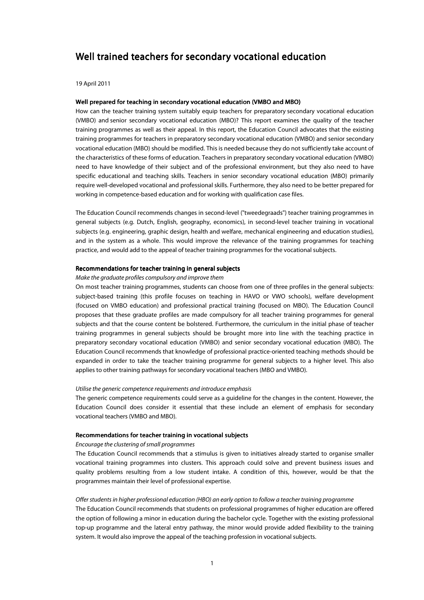# Well trained teachers for secondary vocational education

19 April 2011

# Well prepared for teaching in secondary vocational education (VMBO and MBO)

How can the teacher training system suitably equip teachers for preparatory secondary vocational education (VMBO) and senior secondary vocational education (MBO)? This report examines the quality of the teacher training programmes as well as their appeal. In this report, the Education Council advocates that the existing training programmes for teachers in preparatory secondary vocational education (VMBO) and senior secondary vocational education (MBO) should be modified. This is needed because they do not sufficiently take account of the characteristics of these forms of education. Teachers in preparatory secondary vocational education (VMBO) need to have knowledge of their subject and of the professional environment, but they also need to have specific educational and teaching skills. Teachers in senior secondary vocational education (MBO) primarily require well-developed vocational and professional skills. Furthermore, they also need to be better prepared for working in competence-based education and for working with qualification case files.

The Education Council recommends changes in second-level ("tweedegraads") teacher training programmes in general subjects (e.g. Dutch, English, geography, economics), in second-level teacher training in vocational subjects (e.g. engineering, graphic design, health and welfare, mechanical engineering and education studies), and in the system as a whole. This would improve the relevance of the training programmes for teaching practice, and would add to the appeal of teacher training programmes for the vocational subjects.

### Recommendations for teacher training in general subjects

### Make the graduate profiles compulsory and improve them

On most teacher training programmes, students can choose from one of three profiles in the general subjects: subject-based training (this profile focuses on teaching in HAVO or VWO schools), welfare development (focused on VMBO education) and professional practical training (focused on MBO). The Education Council proposes that these graduate profiles are made compulsory for all teacher training programmes for general subjects and that the course content be bolstered. Furthermore, the curriculum in the initial phase of teacher training programmes in general subjects should be brought more into line with the teaching practice in preparatory secondary vocational education (VMBO) and senior secondary vocational education (MBO). The Education Council recommends that knowledge of professional practice-oriented teaching methods should be expanded in order to take the teacher training programme for general subjects to a higher level. This also applies to other training pathways for secondary vocational teachers (MBO and VMBO).

### Utilise the generic competence requirements and introduce emphasis

The generic competence requirements could serve as a guideline for the changes in the content. However, the Education Council does consider it essential that these include an element of emphasis for secondary vocational teachers (VMBO and MBO).

### Recommendations for teacher training in vocational subjects

# Encourage the clustering of small programmes

The Education Council recommends that a stimulus is given to initiatives already started to organise smaller vocational training programmes into clusters. This approach could solve and prevent business issues and quality problems resulting from a low student intake. A condition of this, however, would be that the programmes maintain their level of professional expertise.

#### Offer students in higher professional education (HBO) an early option to follow a teacher training programme

The Education Council recommends that students on professional programmes of higher education are offered the option of following a minor in education during the bachelor cycle. Together with the existing professional top-up programme and the lateral entry pathway, the minor would provide added flexibility to the training system. It would also improve the appeal of the teaching profession in vocational subjects.